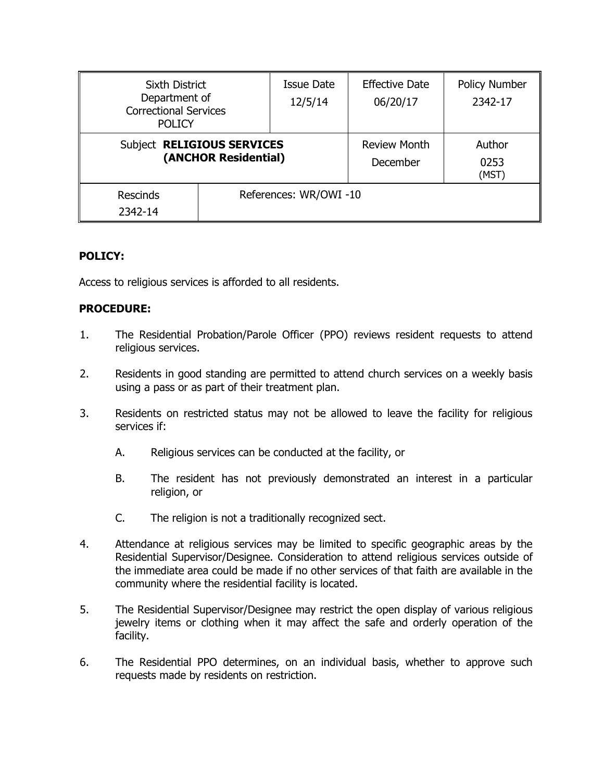| <b>Sixth District</b><br>Department of<br><b>Correctional Services</b><br><b>POLICY</b> |                       | <b>Issue Date</b><br>12/5/14 | <b>Effective Date</b><br>06/20/17 | <b>Policy Number</b><br>2342-17 |
|-----------------------------------------------------------------------------------------|-----------------------|------------------------------|-----------------------------------|---------------------------------|
| Subject RELIGIOUS SERVICES<br>(ANCHOR Residential)                                      |                       |                              | <b>Review Month</b><br>December   | Author<br>0253<br>(MST)         |
| <b>Rescinds</b><br>2342-14                                                              | References: WR/OWI-10 |                              |                                   |                                 |

## **POLICY:**

Access to religious services is afforded to all residents.

## **PROCEDURE:**

- 1. The Residential Probation/Parole Officer (PPO) reviews resident requests to attend religious services.
- 2. Residents in good standing are permitted to attend church services on a weekly basis using a pass or as part of their treatment plan.
- 3. Residents on restricted status may not be allowed to leave the facility for religious services if:
	- A. Religious services can be conducted at the facility, or
	- B. The resident has not previously demonstrated an interest in a particular religion, or
	- C. The religion is not a traditionally recognized sect.
- 4. Attendance at religious services may be limited to specific geographic areas by the Residential Supervisor/Designee. Consideration to attend religious services outside of the immediate area could be made if no other services of that faith are available in the community where the residential facility is located.
- 5. The Residential Supervisor/Designee may restrict the open display of various religious jewelry items or clothing when it may affect the safe and orderly operation of the facility.
- 6. The Residential PPO determines, on an individual basis, whether to approve such requests made by residents on restriction.